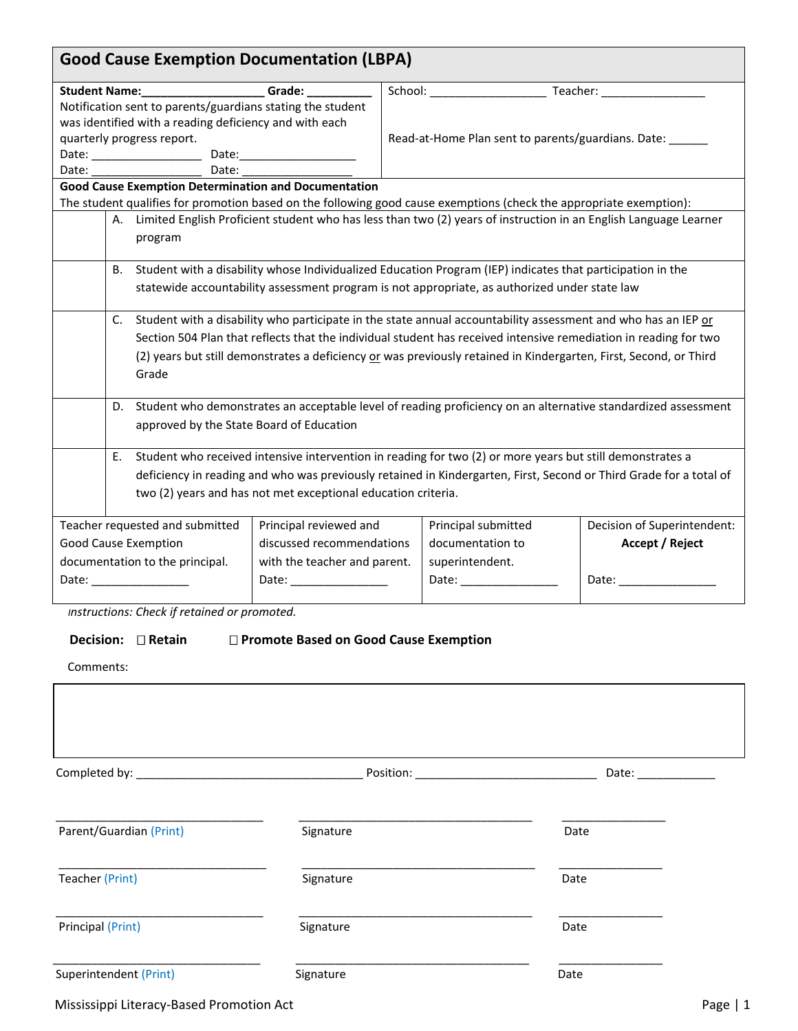| Student Name: _____________________Grade: __________ |                                                                                                                                                                                                                                       |                                                                                                                                                                                                                                                                                                                                                                                                                                                   |                                                                                                                                                                                                                                |                                                                                                                                                                                                                                |
|------------------------------------------------------|---------------------------------------------------------------------------------------------------------------------------------------------------------------------------------------------------------------------------------------|---------------------------------------------------------------------------------------------------------------------------------------------------------------------------------------------------------------------------------------------------------------------------------------------------------------------------------------------------------------------------------------------------------------------------------------------------|--------------------------------------------------------------------------------------------------------------------------------------------------------------------------------------------------------------------------------|--------------------------------------------------------------------------------------------------------------------------------------------------------------------------------------------------------------------------------|
|                                                      | Notification sent to parents/guardians stating the student                                                                                                                                                                            |                                                                                                                                                                                                                                                                                                                                                                                                                                                   |                                                                                                                                                                                                                                |                                                                                                                                                                                                                                |
|                                                      | was identified with a reading deficiency and with each                                                                                                                                                                                |                                                                                                                                                                                                                                                                                                                                                                                                                                                   |                                                                                                                                                                                                                                |                                                                                                                                                                                                                                |
|                                                      | quarterly progress report.                                                                                                                                                                                                            |                                                                                                                                                                                                                                                                                                                                                                                                                                                   |                                                                                                                                                                                                                                | Read-at-Home Plan sent to parents/guardians. Date: ______                                                                                                                                                                      |
|                                                      |                                                                                                                                                                                                                                       |                                                                                                                                                                                                                                                                                                                                                                                                                                                   |                                                                                                                                                                                                                                |                                                                                                                                                                                                                                |
|                                                      | Date: ____________________                                                                                                                                                                                                            | Date: $\frac{1}{\sqrt{1-\frac{1}{2}} \cdot \frac{1}{2} \cdot \frac{1}{2} \cdot \frac{1}{2} \cdot \frac{1}{2} \cdot \frac{1}{2} \cdot \frac{1}{2} \cdot \frac{1}{2} \cdot \frac{1}{2} \cdot \frac{1}{2} \cdot \frac{1}{2} \cdot \frac{1}{2} \cdot \frac{1}{2} \cdot \frac{1}{2} \cdot \frac{1}{2} \cdot \frac{1}{2} \cdot \frac{1}{2} \cdot \frac{1}{2} \cdot \frac{1}{2} \cdot \frac{1}{2} \cdot \frac{1}{2} \cdot \frac{1}{2} \cdot \frac{1}{2}$ |                                                                                                                                                                                                                                |                                                                                                                                                                                                                                |
|                                                      | <b>Good Cause Exemption Determination and Documentation</b>                                                                                                                                                                           |                                                                                                                                                                                                                                                                                                                                                                                                                                                   |                                                                                                                                                                                                                                |                                                                                                                                                                                                                                |
|                                                      |                                                                                                                                                                                                                                       | The student qualifies for promotion based on the following good cause exemptions (check the appropriate exemption):                                                                                                                                                                                                                                                                                                                               |                                                                                                                                                                                                                                |                                                                                                                                                                                                                                |
|                                                      |                                                                                                                                                                                                                                       | A. Limited English Proficient student who has less than two (2) years of instruction in an English Language Learner                                                                                                                                                                                                                                                                                                                               |                                                                                                                                                                                                                                |                                                                                                                                                                                                                                |
|                                                      | program                                                                                                                                                                                                                               |                                                                                                                                                                                                                                                                                                                                                                                                                                                   |                                                                                                                                                                                                                                |                                                                                                                                                                                                                                |
|                                                      |                                                                                                                                                                                                                                       |                                                                                                                                                                                                                                                                                                                                                                                                                                                   |                                                                                                                                                                                                                                |                                                                                                                                                                                                                                |
|                                                      | B. Student with a disability whose Individualized Education Program (IEP) indicates that participation in the<br>statewide accountability assessment program is not appropriate, as authorized under state law                        |                                                                                                                                                                                                                                                                                                                                                                                                                                                   |                                                                                                                                                                                                                                |                                                                                                                                                                                                                                |
|                                                      |                                                                                                                                                                                                                                       |                                                                                                                                                                                                                                                                                                                                                                                                                                                   |                                                                                                                                                                                                                                |                                                                                                                                                                                                                                |
|                                                      | Student with a disability who participate in the state annual accountability assessment and who has an IEP or<br>C.                                                                                                                   |                                                                                                                                                                                                                                                                                                                                                                                                                                                   |                                                                                                                                                                                                                                |                                                                                                                                                                                                                                |
|                                                      | Section 504 Plan that reflects that the individual student has received intensive remediation in reading for two<br>(2) years but still demonstrates a deficiency or was previously retained in Kindergarten, First, Second, or Third |                                                                                                                                                                                                                                                                                                                                                                                                                                                   |                                                                                                                                                                                                                                |                                                                                                                                                                                                                                |
|                                                      |                                                                                                                                                                                                                                       |                                                                                                                                                                                                                                                                                                                                                                                                                                                   |                                                                                                                                                                                                                                |                                                                                                                                                                                                                                |
|                                                      | Grade                                                                                                                                                                                                                                 |                                                                                                                                                                                                                                                                                                                                                                                                                                                   |                                                                                                                                                                                                                                |                                                                                                                                                                                                                                |
|                                                      |                                                                                                                                                                                                                                       |                                                                                                                                                                                                                                                                                                                                                                                                                                                   |                                                                                                                                                                                                                                |                                                                                                                                                                                                                                |
|                                                      | D.                                                                                                                                                                                                                                    |                                                                                                                                                                                                                                                                                                                                                                                                                                                   |                                                                                                                                                                                                                                | Student who demonstrates an acceptable level of reading proficiency on an alternative standardized assessment                                                                                                                  |
|                                                      | approved by the State Board of Education                                                                                                                                                                                              |                                                                                                                                                                                                                                                                                                                                                                                                                                                   |                                                                                                                                                                                                                                |                                                                                                                                                                                                                                |
|                                                      |                                                                                                                                                                                                                                       |                                                                                                                                                                                                                                                                                                                                                                                                                                                   |                                                                                                                                                                                                                                |                                                                                                                                                                                                                                |
|                                                      | Student who received intensive intervention in reading for two (2) or more years but still demonstrates a<br>Е.<br>deficiency in reading and who was previously retained in Kindergarten, First, Second or Third Grade for a total of |                                                                                                                                                                                                                                                                                                                                                                                                                                                   |                                                                                                                                                                                                                                |                                                                                                                                                                                                                                |
|                                                      |                                                                                                                                                                                                                                       |                                                                                                                                                                                                                                                                                                                                                                                                                                                   |                                                                                                                                                                                                                                |                                                                                                                                                                                                                                |
|                                                      |                                                                                                                                                                                                                                       | two (2) years and has not met exceptional education criteria.                                                                                                                                                                                                                                                                                                                                                                                     |                                                                                                                                                                                                                                |                                                                                                                                                                                                                                |
|                                                      | Teacher requested and submitted                                                                                                                                                                                                       | Principal reviewed and                                                                                                                                                                                                                                                                                                                                                                                                                            | Principal submitted                                                                                                                                                                                                            | Decision of Superintendent:                                                                                                                                                                                                    |
|                                                      |                                                                                                                                                                                                                                       | discussed recommendations                                                                                                                                                                                                                                                                                                                                                                                                                         | documentation to                                                                                                                                                                                                               |                                                                                                                                                                                                                                |
| Good Cause Exemption                                 |                                                                                                                                                                                                                                       |                                                                                                                                                                                                                                                                                                                                                                                                                                                   |                                                                                                                                                                                                                                | Accept / Reject                                                                                                                                                                                                                |
|                                                      | documentation to the principal.<br>with the teacher and parent.                                                                                                                                                                       |                                                                                                                                                                                                                                                                                                                                                                                                                                                   | superintendent.                                                                                                                                                                                                                |                                                                                                                                                                                                                                |
|                                                      | Date: the contract of the contract of the contract of the contract of the contract of the contract of the contract of the contract of the contract of the contract of the contract of the contract of the contract of the cont        | Date: the contract of the contract of the contract of the contract of the contract of the contract of the contract of the contract of the contract of the contract of the contract of the contract of the contract of the cont                                                                                                                                                                                                                    | Date: the contract of the contract of the contract of the contract of the contract of the contract of the contract of the contract of the contract of the contract of the contract of the contract of the contract of the cont | Date: the contract of the contract of the contract of the contract of the contract of the contract of the contract of the contract of the contract of the contract of the contract of the contract of the contract of the cont |

## **Decision: Retain Promote Based on Good Cause Exemption**

Comments:

| Parent/Guardian (Print) | Signature | Date |
|-------------------------|-----------|------|
| Teacher (Print)         | Signature | Date |
| Principal (Print)       | Signature | Date |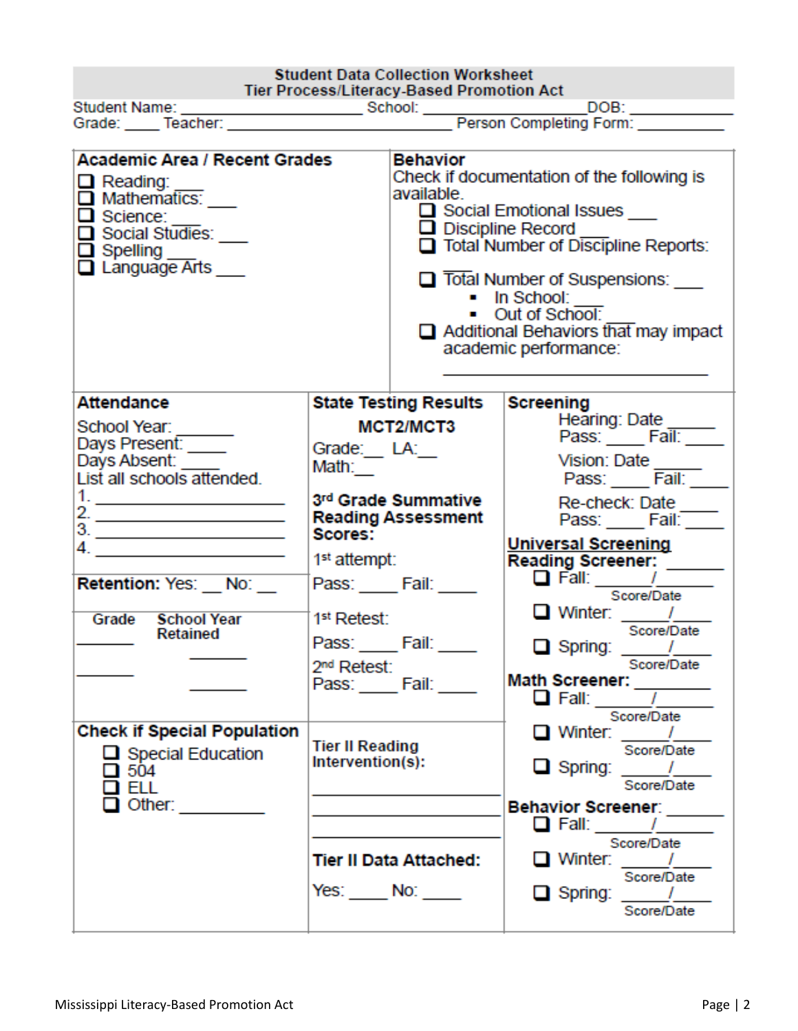| <b>Student Data Collection Worksheet</b><br>Tier Process/Literacy-Based Promotion Act                                                                                                                                                                                                                                                                                                                                                                                                                                                                                                                                      |                                                                                                                                                                                                                        |                                           |                                                                                                                                                                                                                                                                                                                                                                                      |
|----------------------------------------------------------------------------------------------------------------------------------------------------------------------------------------------------------------------------------------------------------------------------------------------------------------------------------------------------------------------------------------------------------------------------------------------------------------------------------------------------------------------------------------------------------------------------------------------------------------------------|------------------------------------------------------------------------------------------------------------------------------------------------------------------------------------------------------------------------|-------------------------------------------|--------------------------------------------------------------------------------------------------------------------------------------------------------------------------------------------------------------------------------------------------------------------------------------------------------------------------------------------------------------------------------------|
| <b>Academic Area / Recent Grades</b><br>$\Box$ Reading:<br>$\Box$ Mathematics:<br>$\overline{\Box}$ Science:<br>Social Studies:<br>$\Box$ Spelling $\_\_\_\$<br>$\Box$ Language Arts                                                                                                                                                                                                                                                                                                                                                                                                                                       |                                                                                                                                                                                                                        | <b>Behavior</b><br>available.             | Check if documentation of the following is<br>□ Social Emotional Issues <u>■</u><br>$\Box$ Discipline Record<br>Total Number of Discipline Reports:<br><b>Total Number of Suspensions:</b><br>$\blacksquare$ In School:<br>• Out of School:<br>$\Box$ Additional Behaviors that may impact<br>academic performance:                                                                  |
| <b>Attendance</b><br>School Year:<br>Days Present:<br>Days Absent:<br>List all schools attended.<br>2. $\frac{1}{\sqrt{1-\frac{1}{2}}\sqrt{1-\frac{1}{2}}\sqrt{1-\frac{1}{2}}\sqrt{1-\frac{1}{2}}\sqrt{1-\frac{1}{2}}\sqrt{1-\frac{1}{2}}\sqrt{1-\frac{1}{2}}\sqrt{1-\frac{1}{2}}\sqrt{1-\frac{1}{2}}\sqrt{1-\frac{1}{2}}\sqrt{1-\frac{1}{2}}\sqrt{1-\frac{1}{2}}\sqrt{1-\frac{1}{2}}\sqrt{1-\frac{1}{2}}\sqrt{1-\frac{1}{2}}\sqrt{1-\frac{1}{2}}\sqrt{1-\frac{1}{2}}\sqrt{1-\frac{1}{2}}\sqrt{1-\frac{1}{2}}\sqrt{$<br>$3.$ $\overline{\qquad \qquad }$<br>Retention: Yes: No:<br>Grade<br><b>School Year</b><br>Retained | Grade: LA:<br>Math:<br>3rd Grade Summative<br><b>Reading Assessment</b><br>Scores:<br>1 <sup>st</sup> attempt:<br>Pass: Fail:<br>1 <sup>st</sup> Retest:<br>Pass: Fail: 1997<br>2 <sup>nd</sup> Retest:<br>Pass: Fail: | <b>State Testing Results</b><br>MCT2/MCT3 | <b>Screening</b><br>Hearing: Date _<br>Pass: $\frac{2 \text{ rad}}{\text{Fall: } -\text{real}}$<br>Vision: Date<br>Pass: Fail:<br>Re-check: Date ____<br>Pass: ____ Fail: ___<br><b>Universal Screening</b><br>Score/Date<br>$\Box$ Winter: $\frac{1}{\Box}$<br>Score/Date<br>$\Box$ Spring: $\_\_\_\_\_\_\_\$<br>Score/Date<br>Math Screener: $\frac{1}{\sqrt{2\pi}}$<br>Score/Date |
| <b>Check if Special Population</b><br>$\Box$ Special Education<br>$\square$ 504<br>i ell<br>Other: $\frac{1}{2}$                                                                                                                                                                                                                                                                                                                                                                                                                                                                                                           | <b>Tier II Reading</b><br>Intervention(s):<br>Tier II Data Attached:<br>$Yes:$ No: $\_\_$                                                                                                                              |                                           | $\Box$ Winter: $\_\_\_\_\_\_\_\_\$<br>Score/Date<br>$\Box$ Spring: $\frac{1}{\Box}$<br>Score/Date<br>Behavior Screener: ______<br>$\Box$ Fall: $\Box$<br>Score/Date<br>$\Box$ Winter: $\Box$<br>Score/Date<br>$\Box$ Spring: $\_\_\_\_\_\_\_\_\$<br>Score/Date                                                                                                                       |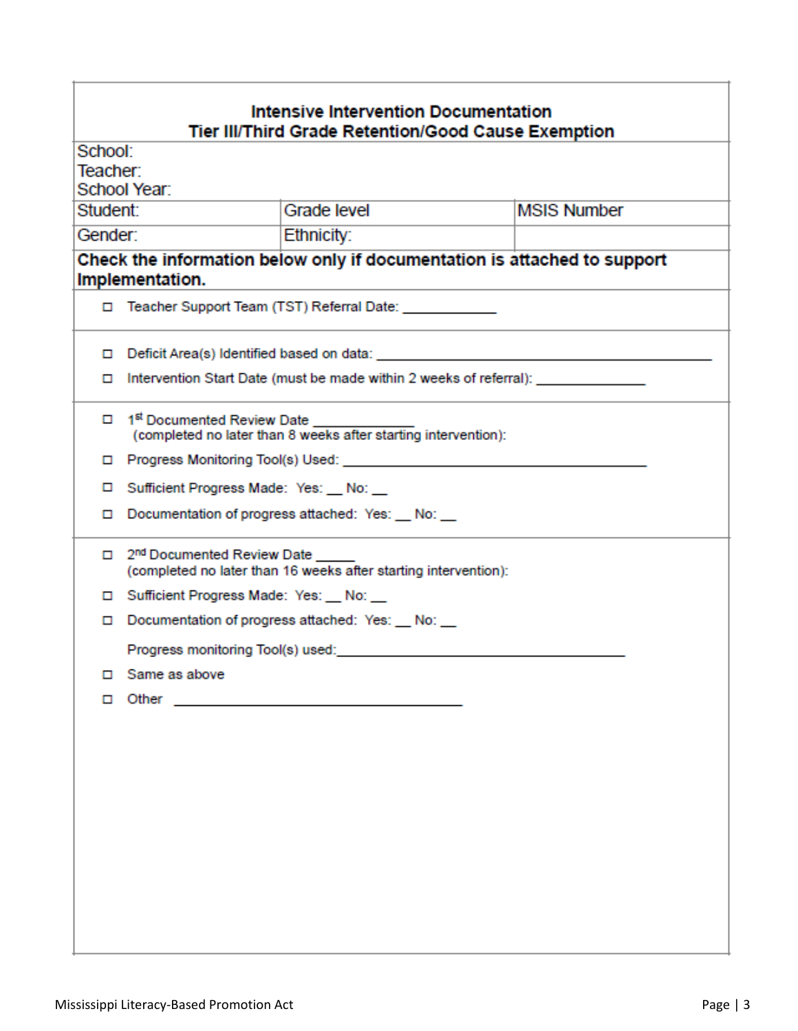| <b>Intensive Intervention Documentation</b><br>Tier III/Third Grade Retention/Good Cause Exemption |                                                                                                            |  |  |  |  |  |
|----------------------------------------------------------------------------------------------------|------------------------------------------------------------------------------------------------------------|--|--|--|--|--|
|                                                                                                    | School:                                                                                                    |  |  |  |  |  |
| Teacher:                                                                                           |                                                                                                            |  |  |  |  |  |
|                                                                                                    | School Year:                                                                                               |  |  |  |  |  |
|                                                                                                    | <b>MSIS Number</b><br>Grade level<br>Student:                                                              |  |  |  |  |  |
|                                                                                                    | Gender:<br>Ethnicity:                                                                                      |  |  |  |  |  |
|                                                                                                    | Check the information below only if documentation is attached to support                                   |  |  |  |  |  |
|                                                                                                    | Implementation.                                                                                            |  |  |  |  |  |
|                                                                                                    | □ Teacher Support Team (TST) Referral Date: _____________                                                  |  |  |  |  |  |
| ▫                                                                                                  |                                                                                                            |  |  |  |  |  |
| ▫                                                                                                  | Intervention Start Date (must be made within 2 weeks of referral):                                         |  |  |  |  |  |
|                                                                                                    | □ 1 <sup>st</sup> Documented Review Date<br>(completed no later than 8 weeks after starting intervention): |  |  |  |  |  |
| 0                                                                                                  |                                                                                                            |  |  |  |  |  |
| □                                                                                                  | Sufficient Progress Made: Yes: No:                                                                         |  |  |  |  |  |
| ▫                                                                                                  | Documentation of progress attached: Yes: No: _                                                             |  |  |  |  |  |
|                                                                                                    | 2 <sup>nd</sup> Documented Review Date<br>(completed no later than 16 weeks after starting intervention):  |  |  |  |  |  |
|                                                                                                    | Sufficient Progress Made: Yes: No:                                                                         |  |  |  |  |  |
| ▫                                                                                                  | Documentation of progress attached: Yes: No: _                                                             |  |  |  |  |  |
|                                                                                                    | Progress monitoring Tool(s) used:                                                                          |  |  |  |  |  |
| □                                                                                                  | Same as above                                                                                              |  |  |  |  |  |
| □                                                                                                  |                                                                                                            |  |  |  |  |  |
|                                                                                                    |                                                                                                            |  |  |  |  |  |
|                                                                                                    |                                                                                                            |  |  |  |  |  |
|                                                                                                    |                                                                                                            |  |  |  |  |  |
|                                                                                                    |                                                                                                            |  |  |  |  |  |
|                                                                                                    |                                                                                                            |  |  |  |  |  |
|                                                                                                    |                                                                                                            |  |  |  |  |  |
|                                                                                                    |                                                                                                            |  |  |  |  |  |
|                                                                                                    |                                                                                                            |  |  |  |  |  |
|                                                                                                    |                                                                                                            |  |  |  |  |  |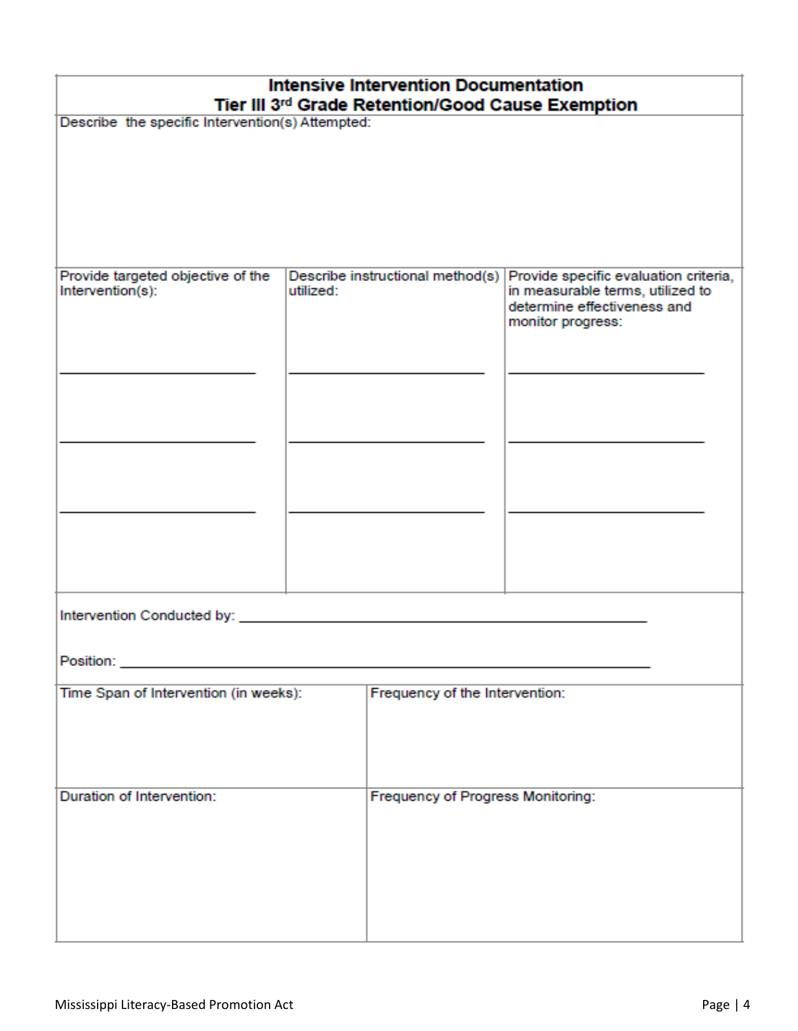| <b>Intensive Intervention Documentation</b><br>Tier III 3rd Grade Retention/Good Cause Exemption                                                                                                                                    |                                                  |                                   |                                                                 |  |  |
|-------------------------------------------------------------------------------------------------------------------------------------------------------------------------------------------------------------------------------------|--------------------------------------------------|-----------------------------------|-----------------------------------------------------------------|--|--|
|                                                                                                                                                                                                                                     | Describe the specific Intervention(s) Attempted: |                                   |                                                                 |  |  |
|                                                                                                                                                                                                                                     |                                                  |                                   |                                                                 |  |  |
|                                                                                                                                                                                                                                     |                                                  |                                   |                                                                 |  |  |
|                                                                                                                                                                                                                                     |                                                  |                                   |                                                                 |  |  |
|                                                                                                                                                                                                                                     |                                                  |                                   |                                                                 |  |  |
| Provide targeted objective of the<br>Describe instructional method(s) Provide specific evaluation criteria,                                                                                                                         |                                                  |                                   |                                                                 |  |  |
| Intervention(s):                                                                                                                                                                                                                    | utilized:                                        |                                   | in measurable terms, utilized to<br>determine effectiveness and |  |  |
|                                                                                                                                                                                                                                     |                                                  |                                   | monitor progress:                                               |  |  |
|                                                                                                                                                                                                                                     |                                                  |                                   |                                                                 |  |  |
|                                                                                                                                                                                                                                     |                                                  |                                   |                                                                 |  |  |
|                                                                                                                                                                                                                                     |                                                  |                                   |                                                                 |  |  |
|                                                                                                                                                                                                                                     |                                                  |                                   |                                                                 |  |  |
|                                                                                                                                                                                                                                     |                                                  |                                   |                                                                 |  |  |
|                                                                                                                                                                                                                                     |                                                  |                                   |                                                                 |  |  |
|                                                                                                                                                                                                                                     |                                                  |                                   |                                                                 |  |  |
|                                                                                                                                                                                                                                     |                                                  |                                   |                                                                 |  |  |
|                                                                                                                                                                                                                                     |                                                  |                                   |                                                                 |  |  |
| Intervention Conducted by:                                                                                                                                                                                                          |                                                  |                                   |                                                                 |  |  |
|                                                                                                                                                                                                                                     |                                                  |                                   |                                                                 |  |  |
| <b>Position:</b> Provide the contract of the contract of the contract of the contract of the contract of the contract of the contract of the contract of the contract of the contract of the contract of the contract of the contra |                                                  |                                   |                                                                 |  |  |
| Time Span of Intervention (in weeks):                                                                                                                                                                                               |                                                  | Frequency of the Intervention:    |                                                                 |  |  |
|                                                                                                                                                                                                                                     |                                                  |                                   |                                                                 |  |  |
|                                                                                                                                                                                                                                     |                                                  |                                   |                                                                 |  |  |
|                                                                                                                                                                                                                                     |                                                  |                                   |                                                                 |  |  |
| Duration of Intervention:                                                                                                                                                                                                           |                                                  | Frequency of Progress Monitoring: |                                                                 |  |  |
|                                                                                                                                                                                                                                     |                                                  |                                   |                                                                 |  |  |
|                                                                                                                                                                                                                                     |                                                  |                                   |                                                                 |  |  |
|                                                                                                                                                                                                                                     |                                                  |                                   |                                                                 |  |  |
|                                                                                                                                                                                                                                     |                                                  |                                   |                                                                 |  |  |